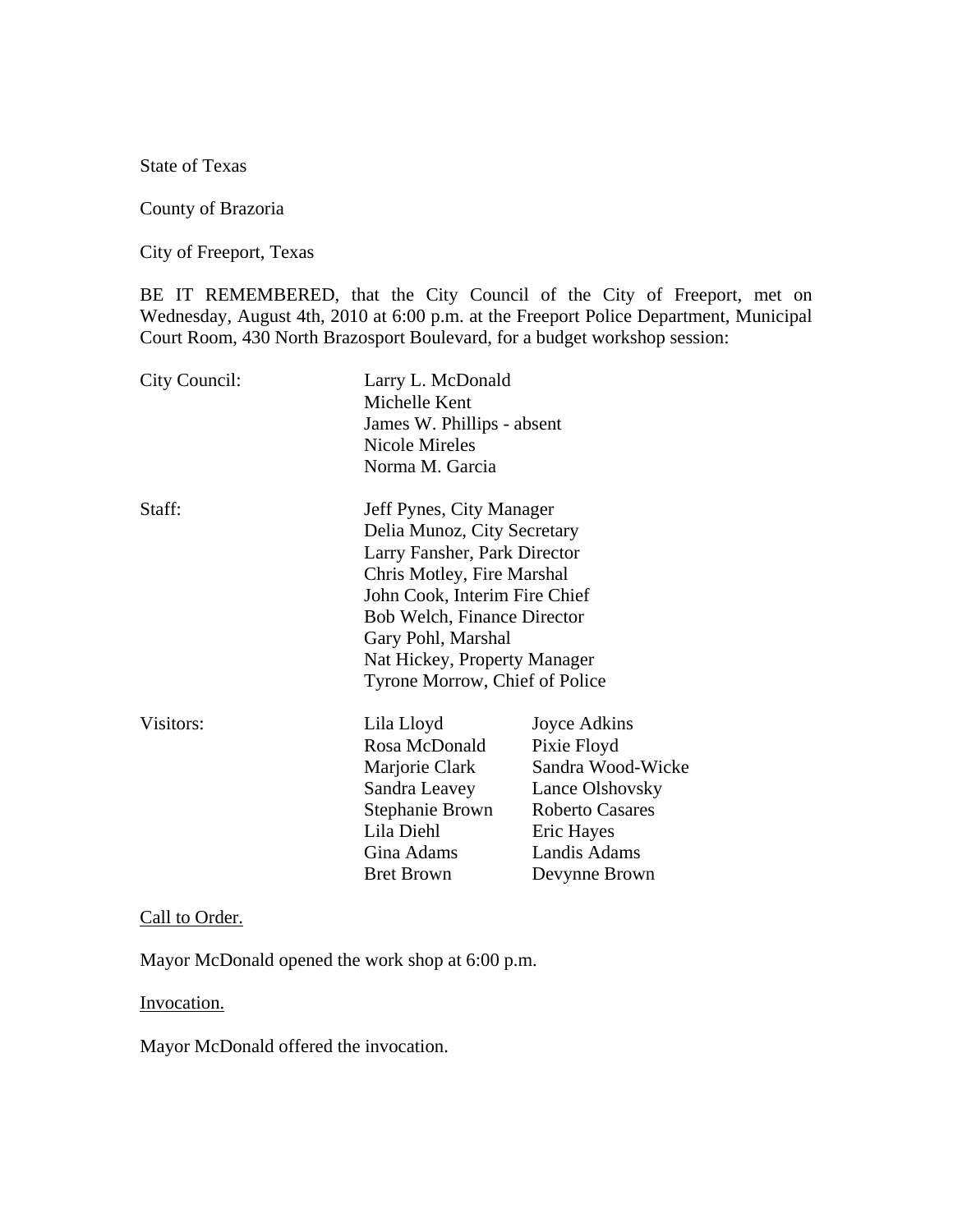State of Texas

County of Brazoria

City of Freeport, Texas

BE IT REMEMBERED, that the City Council of the City of Freeport, met on Wednesday, August 4th, 2010 at 6:00 p.m. at the Freeport Police Department, Municipal Court Room, 430 North Brazosport Boulevard, for a budget workshop session:

| City Council: | Larry L. McDonald<br>Michelle Kent<br>James W. Phillips - absent<br>Nicole Mireles<br>Norma M. Garcia                                                                                                                                                                                |                                                                                                                                              |
|---------------|--------------------------------------------------------------------------------------------------------------------------------------------------------------------------------------------------------------------------------------------------------------------------------------|----------------------------------------------------------------------------------------------------------------------------------------------|
| Staff:        | Jeff Pynes, City Manager<br>Delia Munoz, City Secretary<br>Larry Fansher, Park Director<br>Chris Motley, Fire Marshal<br>John Cook, Interim Fire Chief<br><b>Bob Welch, Finance Director</b><br>Gary Pohl, Marshal<br>Nat Hickey, Property Manager<br>Tyrone Morrow, Chief of Police |                                                                                                                                              |
| Visitors:     | Lila Lloyd<br>Rosa McDonald<br>Marjorie Clark<br>Sandra Leavey<br>Stephanie Brown<br>Lila Diehl<br>Gina Adams<br><b>Bret Brown</b>                                                                                                                                                   | Joyce Adkins<br>Pixie Floyd<br>Sandra Wood-Wicke<br>Lance Olshovsky<br><b>Roberto Casares</b><br>Eric Hayes<br>Landis Adams<br>Devynne Brown |

Call to Order.

Mayor McDonald opened the work shop at 6:00 p.m.

Invocation.

Mayor McDonald offered the invocation.